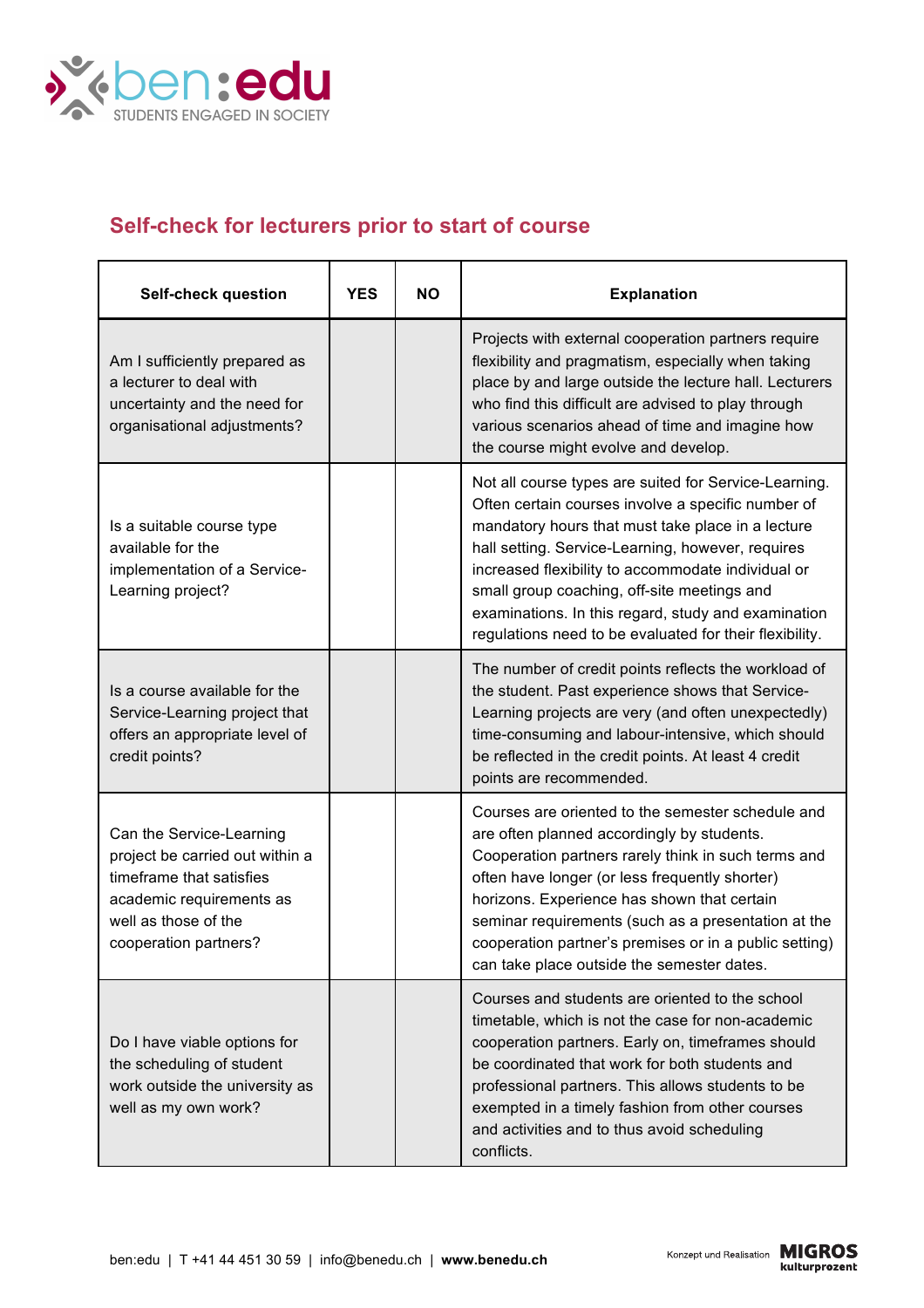

## **Self-check for lecturers prior to start of course**

| <b>Self-check question</b>                                                                                                                                           | <b>YES</b> | <b>NO</b> | <b>Explanation</b>                                                                                                                                                                                                                                                                                                                                                                                                                           |
|----------------------------------------------------------------------------------------------------------------------------------------------------------------------|------------|-----------|----------------------------------------------------------------------------------------------------------------------------------------------------------------------------------------------------------------------------------------------------------------------------------------------------------------------------------------------------------------------------------------------------------------------------------------------|
| Am I sufficiently prepared as<br>a lecturer to deal with<br>uncertainty and the need for<br>organisational adjustments?                                              |            |           | Projects with external cooperation partners require<br>flexibility and pragmatism, especially when taking<br>place by and large outside the lecture hall. Lecturers<br>who find this difficult are advised to play through<br>various scenarios ahead of time and imagine how<br>the course might evolve and develop.                                                                                                                        |
| Is a suitable course type<br>available for the<br>implementation of a Service-<br>Learning project?                                                                  |            |           | Not all course types are suited for Service-Learning.<br>Often certain courses involve a specific number of<br>mandatory hours that must take place in a lecture<br>hall setting. Service-Learning, however, requires<br>increased flexibility to accommodate individual or<br>small group coaching, off-site meetings and<br>examinations. In this regard, study and examination<br>regulations need to be evaluated for their flexibility. |
| Is a course available for the<br>Service-Learning project that<br>offers an appropriate level of<br>credit points?                                                   |            |           | The number of credit points reflects the workload of<br>the student. Past experience shows that Service-<br>Learning projects are very (and often unexpectedly)<br>time-consuming and labour-intensive, which should<br>be reflected in the credit points. At least 4 credit<br>points are recommended.                                                                                                                                      |
| Can the Service-Learning<br>project be carried out within a<br>timeframe that satisfies<br>academic requirements as<br>well as those of the<br>cooperation partners? |            |           | Courses are oriented to the semester schedule and<br>are often planned accordingly by students.<br>Cooperation partners rarely think in such terms and<br>often have longer (or less frequently shorter)<br>horizons. Experience has shown that certain<br>seminar requirements (such as a presentation at the<br>cooperation partner's premises or in a public setting)<br>can take place outside the semester dates.                       |
| Do I have viable options for<br>the scheduling of student<br>work outside the university as<br>well as my own work?                                                  |            |           | Courses and students are oriented to the school<br>timetable, which is not the case for non-academic<br>cooperation partners. Early on, timeframes should<br>be coordinated that work for both students and<br>professional partners. This allows students to be<br>exempted in a timely fashion from other courses<br>and activities and to thus avoid scheduling<br>conflicts.                                                             |